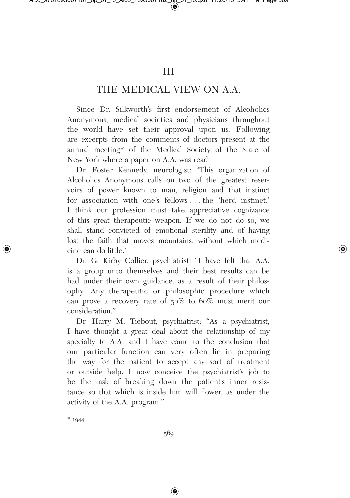## III

## THE MEDICAL VIEW ON A.A.

Since Dr. Silkworth's first endorsement of Alcoholics Anonymous, medical societies and physicians throughout the world have set their approval upon us. Following are excerpts from the comments of doctors present at the annual meeting\* of the Medical Society of the State of New York where a paper on A.A. was read:

Dr. Foster Kennedy, neurologist: "This organization of Alcoholics Anonymous calls on two of the greatest reservoirs of power known to man, religion and that instinct for association with one's fellows . . . the 'herd instinct.' I think our profession must take appreciative cognizance of this great therapeutic weapon. If we do not do so, we shall stand convicted of emotional sterility and of having lost the faith that moves mountains, without which medicine can do little."

Dr. G. Kirby Collier, psychiatrist: "I have felt that A.A. is a group unto themselves and their best results can be had under their own guidance, as a result of their philosophy. Any therapeutic or philosophic procedure which can prove a recovery rate of 50% to 60% must merit our consideration."

Dr. Harry M. Tiebout, psychiatrist: "As a psychiatrist, I have thought a great deal about the relationship of my specialty to A.A. and I have come to the conclusion that our particular function can very often lie in preparing the way for the patient to accept any sort of treatment or outside help. I now conceive the psychiatrist's job to be the task of breaking down the patient's inner resistance so that which is inside him will flower, as under the activity of the A.A. program."

 $*$  1944.